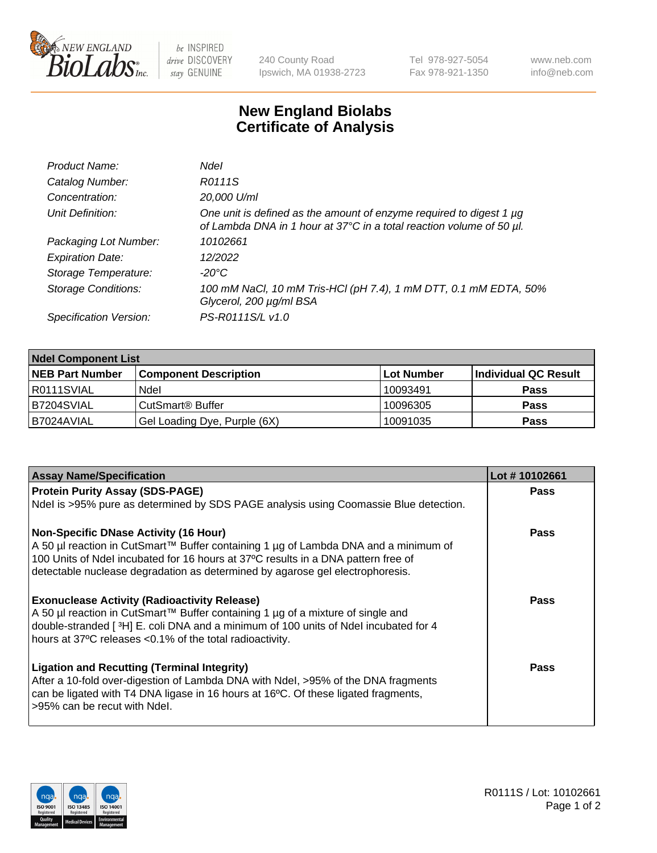

be INSPIRED drive DISCOVERY stay GENUINE

240 County Road Ipswich, MA 01938-2723 Tel 978-927-5054 Fax 978-921-1350 www.neb.com info@neb.com

## **New England Biolabs Certificate of Analysis**

| Product Name:              | Ndel                                                                                                                                             |
|----------------------------|--------------------------------------------------------------------------------------------------------------------------------------------------|
| Catalog Number:            | R0111S                                                                                                                                           |
| Concentration:             | 20,000 U/ml                                                                                                                                      |
| Unit Definition:           | One unit is defined as the amount of enzyme required to digest 1 $\mu$ g<br>of Lambda DNA in 1 hour at 37°C in a total reaction volume of 50 µl. |
| Packaging Lot Number:      | 10102661                                                                                                                                         |
| <b>Expiration Date:</b>    | 12/2022                                                                                                                                          |
| Storage Temperature:       | $-20^{\circ}$ C                                                                                                                                  |
| <b>Storage Conditions:</b> | 100 mM NaCl, 10 mM Tris-HCl (pH 7.4), 1 mM DTT, 0.1 mM EDTA, 50%<br>Glycerol, 200 µg/ml BSA                                                      |
| Specification Version:     | PS-R0111S/L v1.0                                                                                                                                 |

| <b>Ndel Component List</b> |                              |            |                      |  |  |
|----------------------------|------------------------------|------------|----------------------|--|--|
| <b>NEB Part Number</b>     | <b>Component Description</b> | Lot Number | Individual QC Result |  |  |
| R0111SVIAL                 | Ndel                         | 10093491   | <b>Pass</b>          |  |  |
| IB7204SVIAL                | CutSmart® Buffer             | 10096305   | <b>Pass</b>          |  |  |
| IB7024AVIAL                | Gel Loading Dye, Purple (6X) | 10091035   | <b>Pass</b>          |  |  |

| <b>Assay Name/Specification</b>                                                                                                                                    | Lot #10102661 |
|--------------------------------------------------------------------------------------------------------------------------------------------------------------------|---------------|
| <b>Protein Purity Assay (SDS-PAGE)</b>                                                                                                                             | Pass          |
| Ndel is >95% pure as determined by SDS PAGE analysis using Coomassie Blue detection.                                                                               |               |
| <b>Non-Specific DNase Activity (16 Hour)</b>                                                                                                                       | Pass          |
| A 50 µl reaction in CutSmart™ Buffer containing 1 µg of Lambda DNA and a minimum of                                                                                |               |
| 100 Units of Ndel incubated for 16 hours at 37°C results in a DNA pattern free of<br>detectable nuclease degradation as determined by agarose gel electrophoresis. |               |
|                                                                                                                                                                    |               |
| <b>Exonuclease Activity (Radioactivity Release)</b>                                                                                                                | <b>Pass</b>   |
| A 50 µl reaction in CutSmart™ Buffer containing 1 µg of a mixture of single and                                                                                    |               |
| double-stranded [ $3H$ ] E. coli DNA and a minimum of 100 units of Ndel incubated for 4                                                                            |               |
| hours at 37°C releases <0.1% of the total radioactivity.                                                                                                           |               |
| <b>Ligation and Recutting (Terminal Integrity)</b>                                                                                                                 | <b>Pass</b>   |
| After a 10-fold over-digestion of Lambda DNA with Ndel, >95% of the DNA fragments                                                                                  |               |
| can be ligated with T4 DNA ligase in 16 hours at 16°C. Of these ligated fragments,                                                                                 |               |
| >95% can be recut with Ndel.                                                                                                                                       |               |